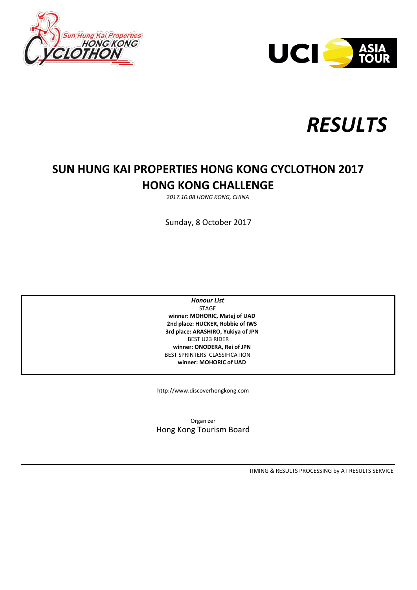





# **SUN HUNG KAI PROPERTIES HONG KONG CYCLOTHON 2017 HONG KONG CHALLENGE**

*2017.10.08 HONG KONG, CHINA*

Sunday, 8 October 2017

 **winner: MOHORIC, Matej of UAD 2nd place: HUCKER, Robbie of IWS 3rd place: ARASHIRO, Yukiya of JPN winner: ONODERA, Rei of JPN** *Honour List* BEST U23 RIDER BEST SPRINTERS' CLASSIFICATION  **winner: MOHORIC of UAD** STAGE

http://www.discoverhongkong.com

Organizer Hong Kong Tourism Board

TIMING & RESULTS PROCESSING by AT RESULTS SERVICE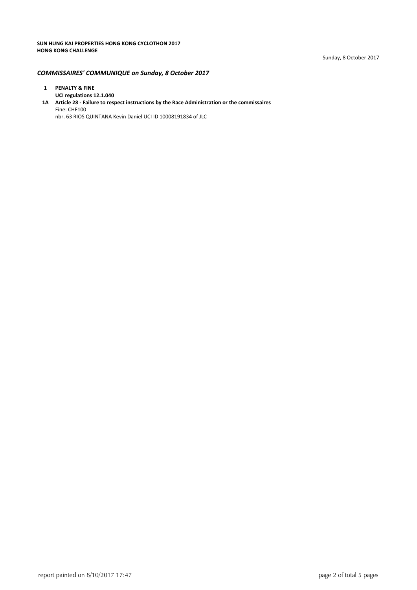#### *COMMISSAIRES' COMMUNIQUE on Sunday, 8 October 2017*

## **1 PENALTY & FINE**

**UCI regulations 12.1.040 1A Article 28 ‐ Failure to respect instructions by the Race Administration or the commissaires** Fine: CHF100 nbr. 63 RIOS QUINTANA Kevin Daniel UCI ID 10008191834 of JLC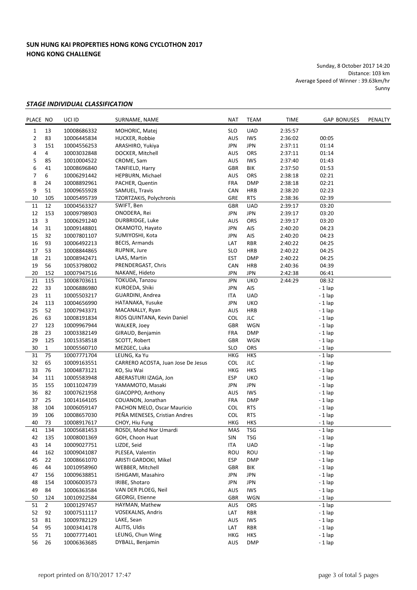### **SUN HUNG KAI PROPERTIES HONG KONG CYCLOTHON 2017 HONG KONG CHALLENGE**

Sunday, 8 October 2017 14:20 Distance: 103 km Average Speed of Winner : 39.63km/hr Sunny

#### *STAGE INDIVIDUAL CLASSIFICATION*

| PLACE NO |                | UCI ID      | SURNAME, NAME                          | <b>NAT</b> | <b>TEAM</b> | TIME    | <b>GAP BONUSES</b> | PENALTY |
|----------|----------------|-------------|----------------------------------------|------------|-------------|---------|--------------------|---------|
| 1        | 13             | 10008686332 | MOHORIC, Matej                         | <b>SLO</b> | <b>UAD</b>  | 2:35:57 |                    |         |
| 2        | 83             | 10006445834 | HUCKER, Robbie                         | AUS        | <b>IWS</b>  | 2:36:02 | 00:05              |         |
| 3        | 151            | 10004556253 | ARASHIRO, Yukiya                       | <b>JPN</b> | <b>JPN</b>  | 2:37:11 | 01:14              |         |
| 4        | 4              | 10003032848 | DOCKER, Mitchell                       | AUS        | ORS         | 2:37:11 | 01:14              |         |
| 5        | 85             | 10010004522 | CROME, Sam                             | <b>AUS</b> | <b>IWS</b>  | 2:37:40 | 01:43              |         |
| 6        | 41             | 10008696840 | TANFIELD, Harry                        | GBR        | BIK         | 2:37:50 | 01:53              |         |
| 7        | 6              | 10006291442 | HEPBURN, Michael                       | AUS        | ORS         | 2:38:18 | 02:21              |         |
| 8        | 24             | 10008892961 | PACHER, Quentin                        | <b>FRA</b> | <b>DMP</b>  | 2:38:18 | 02:21              |         |
| 9        | 51             | 10009655928 | SAMUEL, Travis                         | CAN        | <b>HRB</b>  | 2:38:20 | 02:23              |         |
| 10       | 105            | 10005495739 | TZORTZAKIS, Polychronis                | GRE        | <b>RTS</b>  | 2:38:36 | 02:39              |         |
| 11       | 12             | 10004563327 | SWIFT, Ben                             | GBR        | <b>UAD</b>  | 2:39:17 | 03:20              |         |
| 12       | 153            | 10009798903 | ONODERA, Rei                           | <b>JPN</b> | <b>JPN</b>  | 2:39:17 | 03:20              |         |
| 13       | 3              | 10006291240 | DURBRIDGE, Luke                        | <b>AUS</b> | ORS         | 2:39:17 | 03:20              |         |
| 14       | 31             | 10009148801 | OKAMOTO, Hayato                        | <b>JPN</b> | AIS         | 2:40:20 | 04:23              |         |
| 15       | 32             | 10007801107 | SUMIYOSHI, Kota                        | <b>JPN</b> | AIS         | 2:40:20 | 04:23              |         |
| 16       | 93             |             | <b>BECIS, Armands</b>                  | LAT        | <b>RBR</b>  |         |                    |         |
|          |                | 10006492213 | RUPNIK, Jure                           |            |             | 2:40:22 | 04:25              |         |
| 17       | 53             | 10008844865 |                                        | <b>SLO</b> | HRB         | 2:40:22 | 04:25              |         |
| 18       | 21             | 10008942471 | LAAS, Martin                           | <b>EST</b> | <b>DMP</b>  | 2:40:22 | 04:25              |         |
| 19       | 56             | 10053798002 | PRENDERGAST, Chris                     | CAN        | <b>HRB</b>  | 2:40:36 | 04:39              |         |
| 20       | 152            | 10007947516 | NAKANE, Hideto                         | <b>JPN</b> | <b>JPN</b>  | 2:42:38 | 06:41              |         |
| 21       | 115            | 10008703611 | TOKUDA, Tanzou                         | <b>JPN</b> | <b>UKO</b>  | 2:44:29 | 08:32              |         |
| 22       | 33             | 10006886980 | KUROEDA, Shiki                         | JPN        | AIS         |         | $-1$ lap           |         |
| 23       | 11             | 10005503217 | GUARDINI, Andrea                       | ITA        | <b>UAD</b>  |         | $-1$ lap           |         |
| 24       | 113            | 10004656990 | HATANAKA, Yusuke                       | <b>JPN</b> | <b>UKO</b>  |         | $-1$ lap           |         |
| 25       | 52             | 10007943371 | MACANALLY, Ryan                        | AUS        | <b>HRB</b>  |         | $-1$ lap           |         |
| 26       | 63             | 10008191834 | RIOS QUINTANA, Kevin Daniel            | <b>COL</b> | <b>JLC</b>  |         | $-1$ lap           |         |
| 27       | 123            | 10009967944 | WALKER, Joey                           | GBR        | WGN         |         | $-1$ lap           |         |
| 28       | 23             | 10003382149 | GIRAUD, Benjamin                       | <b>FRA</b> | <b>DMP</b>  |         | - 1 lap            |         |
| 29       | 125            | 10015358518 | SCOTT, Robert                          | GBR        | WGN         |         | $-1$ lap           |         |
| 30       | $\mathbf{1}$   | 10005560710 | MEZGEC, Luka                           | <b>SLO</b> | ORS         |         | $-1$ lap           |         |
| 31       | 75             | 10007771704 | LEUNG, Ka Yu                           | <b>HKG</b> | <b>HKS</b>  |         | $-1$ lap           |         |
| 32       | 65             | 10009163551 | CARRERO ACOSTA, Juan Jose De Jesus     | <b>COL</b> | <b>JLC</b>  |         | $-1$ lap           |         |
| 33       | 76             | 10004873121 | KO, Siu Wai                            | <b>HKG</b> | <b>HKS</b>  |         | $-1$ lap           |         |
| 34       | 111            | 10005583948 | ABERASTURI IZAGA, Jon                  | <b>ESP</b> | <b>UKO</b>  |         | $-1$ lap           |         |
| 35       | 155            | 10011024739 | YAMAMOTO, Masaki                       | <b>JPN</b> | <b>JPN</b>  |         | $-1$ lap           |         |
| 36       | 82             | 10007621958 | GIACOPPO, Anthony                      | AUS        | <b>IWS</b>  |         | $-1$ lap           |         |
| 37       | 25             | 10014164105 | COUANON, Jonathan                      | <b>FRA</b> | <b>DMP</b>  |         | $-1$ lap           |         |
| 38       | 104            | 10006059147 | PACHON MELO, Oscar Mauricio            | <b>COL</b> | <b>RTS</b>  |         | - 1 lap            |         |
| 39       | 106            | 10008657030 | PEÑA MENESES, Cristian Andres          | COL        | <b>RTS</b>  |         | $-1$ lap           |         |
| 40       | 73             | 10008917617 | CHOY, Hiu Fung                         | <b>HKG</b> | <b>HKS</b>  |         | $-1$ lap           |         |
| 41       | 134            | 10005681453 | ROSDI, Mohd Nor Umardi                 | MAS        | <b>TSG</b>  |         | $-1$ lap           |         |
| 42       | 135            | 10008001369 | GOH, Choon Huat                        | SIN        | <b>TSG</b>  |         | $-1$ lap           |         |
| 43       | 14             | 10009027751 | LIZDE, Seid                            | ITA        | UAD         |         | $-1$ lap           |         |
| 44       | 162            | 10009041087 | PLESEA, Valentin                       | ROU        | ROU         |         | $-1$ lap           |         |
| 45       | 22             | 10008661070 | ARISTI GARDOKI, Mikel                  | <b>ESP</b> | <b>DMP</b>  |         | $-1$ lap           |         |
| 46       | 44             | 10010958960 | WEBBER, Mitchell                       | <b>GBR</b> | BIK         |         | $-1$ lap           |         |
| 47       | 156            | 10009638851 | ISHIGAMI, Masahiro                     | JPN        | JPN         |         | $-1$ lap           |         |
| 48       | 154            | 10006003573 | IRIBE, Shotaro                         | <b>JPN</b> | <b>JPN</b>  |         | $-1$ lap           |         |
| 49       | 84             |             |                                        |            | <b>IWS</b>  |         |                    |         |
|          |                | 10006363584 | VAN DER PLOEG, Neil<br>GEORGI, Etienne | AUS<br>GBR | WGN         |         | $-1$ lap           |         |
| 50<br>51 | 124            | 10010922584 |                                        | AUS        |             |         | $-1$ lap           |         |
|          | $\overline{2}$ | 10001297457 | HAYMAN, Mathew                         |            | ORS         |         | $-1$ lap           |         |
| 52       | 92             | 10007511117 | VOSEKALNS, Andris                      | LAT        | <b>RBR</b>  |         | $-1$ lap           |         |
| 53       | 81             | 10009782129 | LAKE, Sean                             | AUS        | <b>IWS</b>  |         | $-1$ lap           |         |
| 54       | 95             | 10003414178 | ALITIS, Uldis                          | LAT        | RBR         |         | $-1$ lap           |         |
| 55       | 71             | 10007771401 | LEUNG, Chun Wing                       | HKG        | HKS         |         | $-1$ lap           |         |
| 56       | 26             | 10006363685 | DYBALL, Benjamin                       | <b>AUS</b> | <b>DMP</b>  |         | $-1$ lap           |         |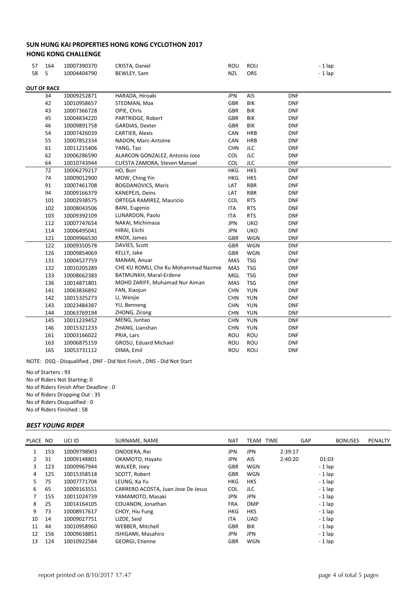#### **SUN HUNG KAI PROPERTIES HONG KONG CYCLOTHON 2017 HONG KONG CHALLENGE**

| 57 | 164                                            | 10007390370                    | CRISTA, Daniel                       |            | ROU        | $-1$ lap   |  |  |  |  |  |
|----|------------------------------------------------|--------------------------------|--------------------------------------|------------|------------|------------|--|--|--|--|--|
| 58 | 5                                              | 10004404790                    | BEWLEY, Sam                          | <b>NZL</b> | ORS        | $-1$ lap   |  |  |  |  |  |
|    |                                                |                                |                                      |            |            |            |  |  |  |  |  |
|    | <b>OUT OF RACE</b>                             |                                |                                      |            |            |            |  |  |  |  |  |
|    | 34                                             | HARADA, Hiroaki<br>10009252871 |                                      | <b>JPN</b> | AIS        | <b>DNF</b> |  |  |  |  |  |
|    | 42<br>STEDMAN, Max<br>10010958657              |                                | <b>GBR</b>                           | <b>BIK</b> | <b>DNF</b> |            |  |  |  |  |  |
|    | 43                                             | 10007366728                    | OPIE, Chris                          | <b>GBR</b> | BIK        | <b>DNF</b> |  |  |  |  |  |
|    | 45                                             | 10004834220                    | PARTRIDGE, Robert                    | <b>GBR</b> | BIK        | <b>DNF</b> |  |  |  |  |  |
|    | 46                                             | 10009891758                    | GARDIAS, Dexter                      | <b>GBR</b> | BIK        | <b>DNF</b> |  |  |  |  |  |
|    | 54                                             | 10007426039                    | <b>CARTIER, Alexis</b>               | CAN        | <b>HRB</b> | <b>DNF</b> |  |  |  |  |  |
|    | 55                                             | 10007852334                    | NADON, Marc-Antoine                  | CAN        | <b>HRB</b> | <b>DNF</b> |  |  |  |  |  |
|    | 61                                             | 10011215406                    | YANG, Tao                            | <b>CHN</b> | <b>JLC</b> | <b>DNF</b> |  |  |  |  |  |
|    | 62                                             | 10006286590                    | ALARCON GONZALEZ, Antonio Jose       | COL        | JLC        | <b>DNF</b> |  |  |  |  |  |
|    | 64                                             | 10010743944                    | CUESTA ZAMORA, Steven Manuel         | <b>COL</b> | <b>JLC</b> | <b>DNF</b> |  |  |  |  |  |
|    | 72                                             | 10006279217                    | HO, Burr                             | <b>HKG</b> | <b>HKS</b> | <b>DNF</b> |  |  |  |  |  |
|    | 74                                             | 10009012900                    | MOW, Ching Yin                       | <b>HKG</b> | <b>HKS</b> | <b>DNF</b> |  |  |  |  |  |
|    | 91                                             | 10007461708                    | <b>BOGDANOVICS, Maris</b>            | LAT        | <b>RBR</b> | <b>DNF</b> |  |  |  |  |  |
|    | 94                                             | 10009166379                    | KANEPEJS, Deins                      | LAT        | <b>RBR</b> | <b>DNF</b> |  |  |  |  |  |
|    | ORTEGA RAMIREZ, Mauricio<br>101<br>10002938575 |                                | COL                                  | <b>RTS</b> | <b>DNF</b> |            |  |  |  |  |  |
|    | 102<br>10008043506<br><b>BANI, Eugenio</b>     |                                | <b>ITA</b>                           | <b>RTS</b> | <b>DNF</b> |            |  |  |  |  |  |
|    | 103                                            | 10009392109                    | LUNARDON, Paolo                      | ITA        | <b>RTS</b> | <b>DNF</b> |  |  |  |  |  |
|    | 112                                            | 10007747654                    | NAKAI, Michimasa                     | <b>JPN</b> | <b>UKO</b> | <b>DNF</b> |  |  |  |  |  |
|    | 114                                            | 10006495041                    | HIRAI, Eiichi                        | <b>JPN</b> | <b>UKO</b> | <b>DNF</b> |  |  |  |  |  |
|    | 121                                            | 10009966530                    | KNOX, James                          | <b>GBR</b> | <b>WGN</b> | <b>DNF</b> |  |  |  |  |  |
|    | 122                                            | 10009350578                    | DAVIES, Scott                        | <b>GBR</b> | <b>WGN</b> | <b>DNF</b> |  |  |  |  |  |
|    | 126                                            | 10009854069                    | KELLY, Jake                          | <b>GBR</b> | <b>WGN</b> | <b>DNF</b> |  |  |  |  |  |
|    | 131                                            | 10004527759                    | MANAN, Anuar                         | MAS        | <b>TSG</b> | <b>DNF</b> |  |  |  |  |  |
|    | 132                                            | 10010205289                    | CHE KU ROMLI, Che Ku Mohammad Nazmie | MAS        | <b>TSG</b> | <b>DNF</b> |  |  |  |  |  |
|    | 133<br>BATMUNKH, Maral-Erdene<br>10008662383   |                                | MGL                                  | <b>TSG</b> | <b>DNF</b> |            |  |  |  |  |  |
|    | 136                                            | 10014871801                    | MOHD ZARIFF, Muhamad Nur Aiman       | MAS        | <b>TSG</b> | <b>DNF</b> |  |  |  |  |  |
|    | 141                                            | 10063836892                    | FAN, Xiaojun                         | <b>CHN</b> | <b>YUN</b> | <b>DNF</b> |  |  |  |  |  |
|    | 142                                            | 10015325273                    | LI, Wenjie                           | <b>CHN</b> | <b>YUN</b> | <b>DNF</b> |  |  |  |  |  |
|    | 143                                            | 10023484387                    | YU, Benneng                          | <b>CHN</b> | <b>YUN</b> | <b>DNF</b> |  |  |  |  |  |
|    | 144                                            | 10063769194                    | ZHONG, Zirong                        | <b>CHN</b> | <b>YUN</b> | <b>DNF</b> |  |  |  |  |  |
|    | 145                                            | 10011239452                    | MENG, Juntao                         | <b>CHN</b> | <b>YUN</b> | <b>DNF</b> |  |  |  |  |  |
|    | 146                                            | 10015321233                    | ZHANG, Lianshan                      | <b>CHN</b> | <b>YUN</b> | <b>DNF</b> |  |  |  |  |  |
|    | 161                                            | 10003166022                    | PRIA, Lars                           | ROU        | ROU        | <b>DNF</b> |  |  |  |  |  |
|    | 163                                            | 10006875159                    | GROSU, Eduard Michael                | ROU        | ROU        | <b>DNF</b> |  |  |  |  |  |
|    | 165                                            | 10053731112                    | DIMA, Emil                           | ROU        | ROU        | <b>DNF</b> |  |  |  |  |  |

NOTE: DSQ ‐ Disqualified , DNF ‐ Did Not Finish , DNS ‐ Did Not Start

No of Starters : 93 No of Riders Not Starting: 0 No of Riders Finish After Deadline : 0 No of Riders Dropping Out : 35 No of Riders Disqualified : 0 No of Riders Finished : 58

#### *BEST YOUNG RIDER*

|    | PLACE NO | UCI ID      | SURNAME, NAME                      | <b>NAT</b> |            | TEAM TIME | GAP | <b>BONUSES</b> | PENALTY |
|----|----------|-------------|------------------------------------|------------|------------|-----------|-----|----------------|---------|
|    | 153      | 10009798903 | ONODERA, Rei                       | <b>JPN</b> | <b>JPN</b> | 2:39:17   |     |                |         |
| 2  | 31       | 10009148801 | OKAMOTO, Hayato                    | <b>JPN</b> | <b>AIS</b> | 2:40:20   |     | 01:03          |         |
| 3  | 123      | 10009967944 | WALKER, Joey                       | <b>GBR</b> | WGN        |           |     | $-1$ lap       |         |
| 4  | 125      | 10015358518 | SCOTT, Robert                      | <b>GBR</b> | <b>WGN</b> |           |     | $-1$ lap       |         |
| 5. | 75       | 10007771704 | LEUNG, Ka Yu                       | <b>HKG</b> | <b>HKS</b> |           |     | $-1$ lap       |         |
| 6  | 65       | 10009163551 | CARRERO ACOSTA, Juan Jose De Jesus | <b>COL</b> | JLC        |           |     | $-1$ lap       |         |
|    | 155      | 10011024739 | YAMAMOTO, Masaki                   | <b>JPN</b> | <b>JPN</b> |           |     | $-1$ lap       |         |
| 8  | 25       | 10014164105 | COUANON, Jonathan                  | <b>FRA</b> | <b>DMP</b> |           |     | $-1$ lap       |         |
| 9  | 73       | 10008917617 | CHOY, Hiu Fung                     | <b>HKG</b> | HKS        |           |     | $-1$ lap       |         |
| 10 | 14       | 10009027751 | LIZDE, Seid                        | <b>ITA</b> | <b>UAD</b> |           |     | $-1$ lap       |         |
| 11 | 44       | 10010958960 | WEBBER, Mitchell                   | <b>GBR</b> | BIK        |           |     | $-1$ lap       |         |
| 12 | 156      | 10009638851 | ISHIGAMI, Masahiro                 | <b>JPN</b> | <b>JPN</b> |           |     | $-1$ lap       |         |
| 13 | 124      | 10010922584 | <b>GEORGI, Etienne</b>             | <b>GBR</b> | WGN        |           |     | $-1$ lap       |         |